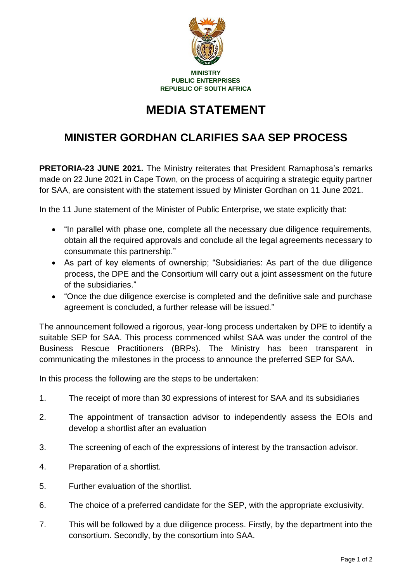

## **MEDIA STATEMENT**

## **MINISTER GORDHAN CLARIFIES SAA SEP PROCESS**

**PRETORIA-23 JUNE 2021.** The Ministry reiterates that President Ramaphosa's remarks made on 22 June 2021 in Cape Town, on the process of acquiring a strategic equity partner for SAA, are consistent with the statement issued by Minister Gordhan on 11 June 2021.

In the 11 June statement of the Minister of Public Enterprise, we state explicitly that:

- "In parallel with phase one, complete all the necessary due diligence requirements, obtain all the required approvals and conclude all the legal agreements necessary to consummate this partnership."
- As part of key elements of ownership; "Subsidiaries: As part of the due diligence process, the DPE and the Consortium will carry out a joint assessment on the future of the subsidiaries."
- "Once the due diligence exercise is completed and the definitive sale and purchase agreement is concluded, a further release will be issued."

The announcement followed a rigorous, year-long process undertaken by DPE to identify a suitable SEP for SAA. This process commenced whilst SAA was under the control of the Business Rescue Practitioners (BRPs). The Ministry has been transparent in communicating the milestones in the process to announce the preferred SEP for SAA.

In this process the following are the steps to be undertaken:

- 1. The receipt of more than 30 expressions of interest for SAA and its subsidiaries
- 2. The appointment of transaction advisor to independently assess the EOIs and develop a shortlist after an evaluation
- 3. The screening of each of the expressions of interest by the transaction advisor.
- 4. Preparation of a shortlist.
- 5. Further evaluation of the shortlist.
- 6. The choice of a preferred candidate for the SEP, with the appropriate exclusivity.
- 7. This will be followed by a due diligence process. Firstly, by the department into the consortium. Secondly, by the consortium into SAA.